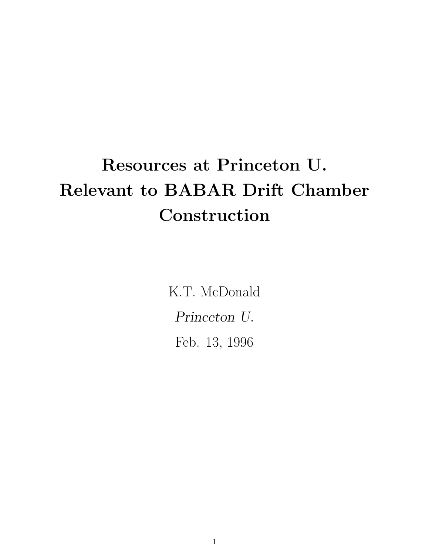## Resources at Princeton U. Relevant to BABAR Drift Chamber Construction

K.T. McDonald Princeton U. Feb. 13, 1996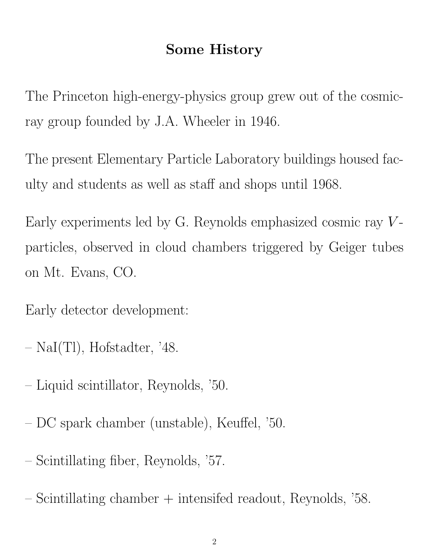## Some History

The Princeton high-energy-physics group grew out of the cosmicray group founded by J.A. Wheeler in 1946.

The present Elementary Particle Laboratory buildings housed faculty and students as well as staff and shops until 1968.

Early experiments led by G. Reynolds emphasized cosmic ray  $V$ particles, observed in cloud chambers triggered by Geiger tubes on Mt. Evans, CO.

Early detector development:

- NaI(Tl), Hofstadter, '48.
- Liquid scintillator, Reynolds, '50.
- DC spark chamber (unstable), Keuffel, '50.
- Scintillating fiber, Reynolds, '57.
- Scintillating chamber + intensifed readout, Reynolds, '58.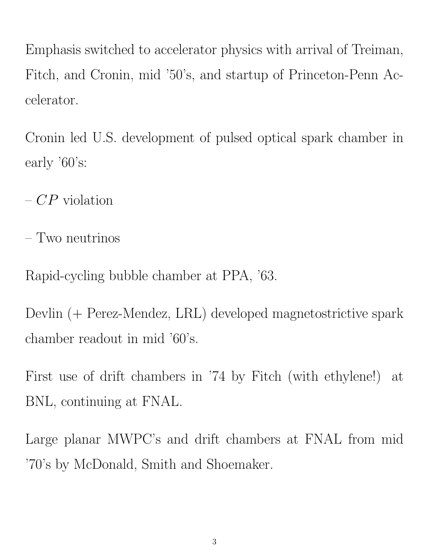Emphasis switched to accelerator physics with arrival of Treiman, Fitch, and Cronin, mid '50's, and startup of Princeton-Penn Accelerator.

Cronin led U.S. development of pulsed optical spark chamber in early '60's:

–  $CP$  violation

– Two neutrinos

Rapid-cycling bubble chamber at PPA, '63.

Devlin (+ Perez-Mendez, LRL) developed magnetostrictive spark chamber readout in mid '60's.

First use of drift chambers in '74 by Fitch (with ethylene!) at BNL, continuing at FNAL.

Large planar MWPC's and drift chambers at FNAL from mid '70's by McDonald, Smith and Shoemaker.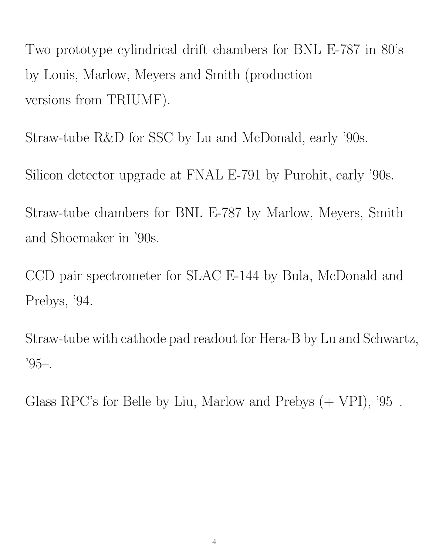Two prototype cylindrical drift chambers for BNL E-787 in 80's by Louis, Marlow, Meyers and Smith (production versions from TRIUMF).

Straw-tube R&D for SSC by Lu and McDonald, early '90s.

Silicon detector upgrade at FNAL E-791 by Purohit, early '90s.

Straw-tube chambers for BNL E-787 by Marlow, Meyers, Smith and Shoemaker in '90s.

CCD pair spectrometer for SLAC E-144 by Bula, McDonald and Prebys, '94.

Straw-tube with cathode pad readout for Hera-B by Lu and Schwartz, '95–.

Glass RPC's for Belle by Liu, Marlow and Prebys (+ VPI), '95–.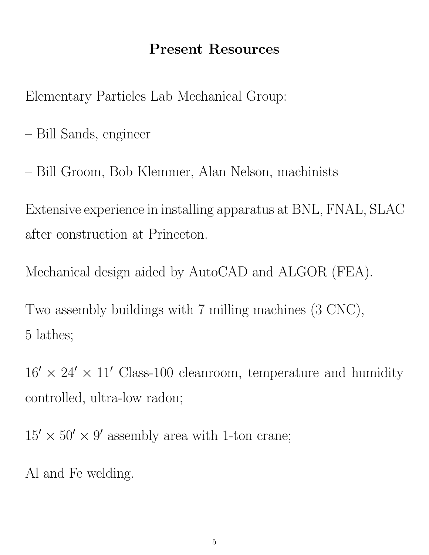## Present Resources

Elementary Particles Lab Mechanical Group:

- Bill Sands, engineer
- Bill Groom, Bob Klemmer, Alan Nelson, machinists

Extensive experience in installing apparatus at BNL, FNAL, SLAC after construction at Princeton.

Mechanical design aided by AutoCAD and ALGOR (FEA).

Two assembly buildings with 7 milling machines (3 CNC), 5 lathes;

 $16' \times 24' \times 11'$  Class-100 cleanroom, temperature and humidity controlled, ultra-low radon;

 $15' \times 50' \times 9'$  assembly area with 1-ton crane;

Al and Fe welding.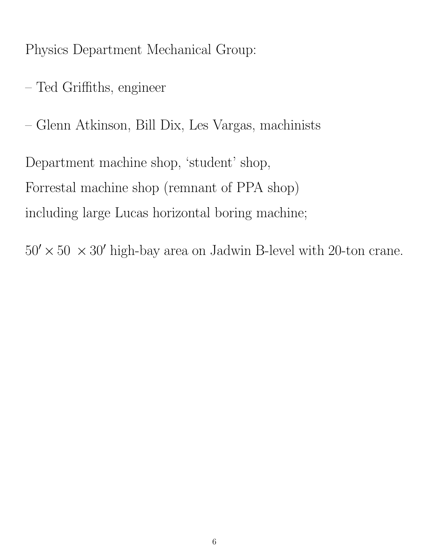Physics Department Mechanical Group:

- Ted Griffiths, engineer
- Glenn Atkinson, Bill Dix, Les Vargas, machinists

Department machine shop, 'student' shop, Forrestal machine shop (remnant of PPA shop) including large Lucas horizontal boring machine;

 $50' \times 50 \times 30'$  high-bay area on Jadwin B-level with 20-ton crane.